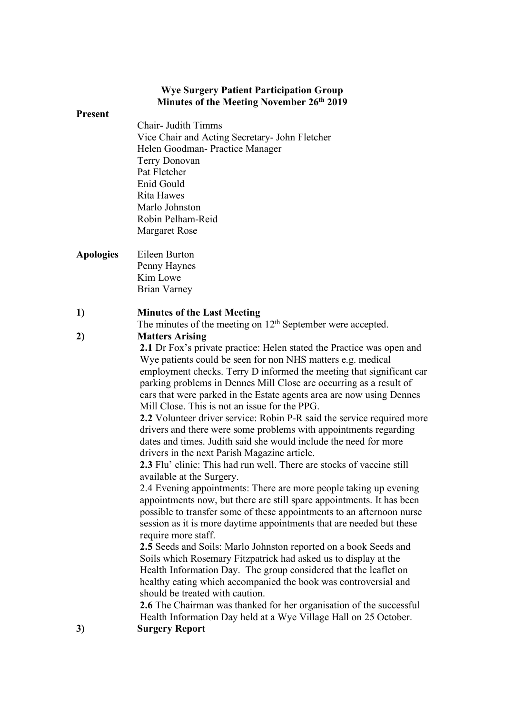## **Wye Surgery Patient Participation Group Minutes of the Meeting November 26th 2019**

#### **Present**

- Chair- Judith Timms Vice Chair and Acting Secretary- John Fletcher Helen Goodman- Practice Manager Terry Donovan Pat Fletcher Enid Gould Rita Hawes Marlo Johnston Robin Pelham-Reid Margaret Rose
- **Apologies** Eileen Burton Penny Haynes Kim Lowe Brian Varney

### **1) Minutes of the Last Meeting**

The minutes of the meeting on 12<sup>th</sup> September were accepted. **2) Matters Arising**

> **2.1** Dr Fox's private practice: Helen stated the Practice was open and Wye patients could be seen for non NHS matters e.g. medical employment checks. Terry D informed the meeting that significant car parking problems in Dennes Mill Close are occurring as a result of cars that were parked in the Estate agents area are now using Dennes Mill Close. This is not an issue for the PPG.

> **2.2** Volunteer driver service: Robin P-R said the service required more drivers and there were some problems with appointments regarding dates and times. Judith said she would include the need for more drivers in the next Parish Magazine article.

**2.3** Flu' clinic: This had run well. There are stocks of vaccine still available at the Surgery.

2.4 Evening appointments: There are more people taking up evening appointments now, but there are still spare appointments. It has been possible to transfer some of these appointments to an afternoon nurse session as it is more daytime appointments that are needed but these require more staff.

**2.5** Seeds and Soils: Marlo Johnston reported on a book Seeds and Soils which Rosemary Fitzpatrick had asked us to display at the Health Information Day. The group considered that the leaflet on healthy eating which accompanied the book was controversial and should be treated with caution.

**2.6** The Chairman was thanked for her organisation of the successful Health Information Day held at a Wye Village Hall on 25 October. **3) Surgery Report**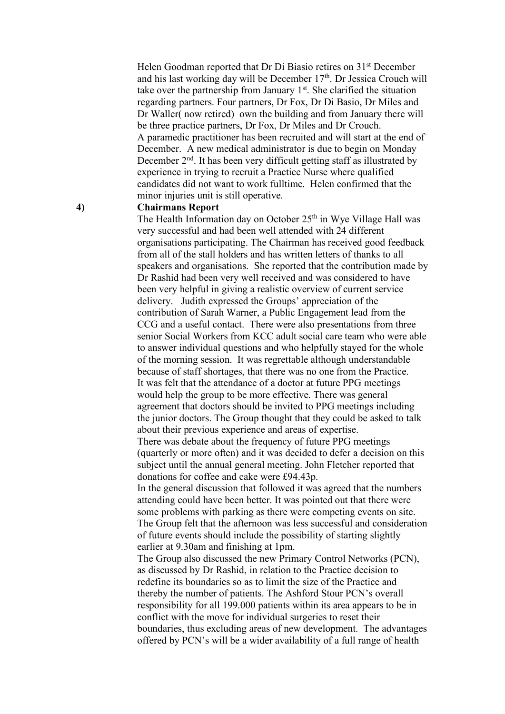Helen Goodman reported that Dr Di Biasio retires on 31st December and his last working day will be December 17<sup>th</sup>. Dr Jessica Crouch will take over the partnership from January 1st. She clarified the situation regarding partners. Four partners, Dr Fox, Dr Di Basio, Dr Miles and Dr Waller( now retired) own the building and from January there will be three practice partners, Dr Fox, Dr Miles and Dr Crouch. A paramedic practitioner has been recruited and will start at the end of December. A new medical administrator is due to begin on Monday December 2<sup>nd</sup>. It has been very difficult getting staff as illustrated by experience in trying to recruit a Practice Nurse where qualified candidates did not want to work fulltime. Helen confirmed that the minor injuries unit is still operative.

#### **4) Chairmans Report**

The Health Information day on October  $25<sup>th</sup>$  in Wye Village Hall was very successful and had been well attended with 24 different organisations participating. The Chairman has received good feedback from all of the stall holders and has written letters of thanks to all speakers and organisations. She reported that the contribution made by Dr Rashid had been very well received and was considered to have been very helpful in giving a realistic overview of current service delivery. Judith expressed the Groups' appreciation of the contribution of Sarah Warner, a Public Engagement lead from the CCG and a useful contact. There were also presentations from three senior Social Workers from KCC adult social care team who were able to answer individual questions and who helpfully stayed for the whole of the morning session. It was regrettable although understandable because of staff shortages, that there was no one from the Practice. It was felt that the attendance of a doctor at future PPG meetings would help the group to be more effective. There was general agreement that doctors should be invited to PPG meetings including the junior doctors. The Group thought that they could be asked to talk about their previous experience and areas of expertise.

There was debate about the frequency of future PPG meetings (quarterly or more often) and it was decided to defer a decision on this subject until the annual general meeting. John Fletcher reported that donations for coffee and cake were £94.43p.

In the general discussion that followed it was agreed that the numbers attending could have been better. It was pointed out that there were some problems with parking as there were competing events on site. The Group felt that the afternoon was less successful and consideration of future events should include the possibility of starting slightly earlier at 9.30am and finishing at 1pm.

The Group also discussed the new Primary Control Networks (PCN), as discussed by Dr Rashid, in relation to the Practice decision to redefine its boundaries so as to limit the size of the Practice and thereby the number of patients. The Ashford Stour PCN's overall responsibility for all 199.000 patients within its area appears to be in conflict with the move for individual surgeries to reset their boundaries, thus excluding areas of new development. The advantages offered by PCN's will be a wider availability of a full range of health